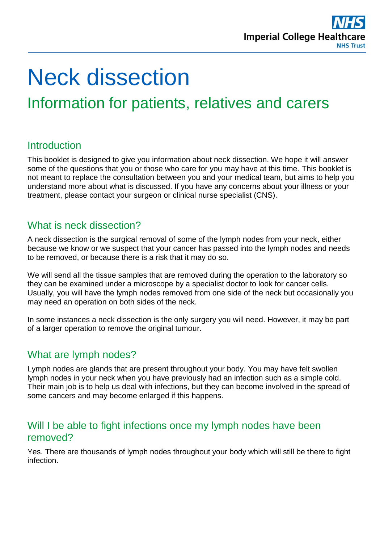

# Neck dissection

## Information for patients, relatives and carers

## **Introduction**

This booklet is designed to give you information about neck dissection. We hope it will answer some of the questions that you or those who care for you may have at this time. This booklet is not meant to replace the consultation between you and your medical team, but aims to help you understand more about what is discussed. If you have any concerns about your illness or your treatment, please contact your surgeon or clinical nurse specialist (CNS).

## What is neck dissection?

A neck dissection is the surgical removal of some of the lymph nodes from your neck, either because we know or we suspect that your cancer has passed into the lymph nodes and needs to be removed, or because there is a risk that it may do so.

We will send all the tissue samples that are removed during the operation to the laboratory so they can be examined under a microscope by a specialist doctor to look for cancer cells. Usually, you will have the lymph nodes removed from one side of the neck but occasionally you may need an operation on both sides of the neck.

In some instances a neck dissection is the only surgery you will need. However, it may be part of a larger operation to remove the original tumour.

## What are lymph nodes?

Lymph nodes are glands that are present throughout your body. You may have felt swollen lymph nodes in your neck when you have previously had an infection such as a simple cold. Their main job is to help us deal with infections, but they can become involved in the spread of some cancers and may become enlarged if this happens.

## Will I be able to fight infections once my lymph nodes have been removed?

Yes. There are thousands of lymph nodes throughout your body which will still be there to fight infection.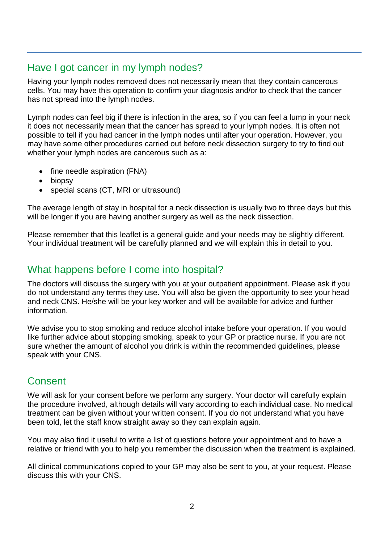## Have I got cancer in my lymph nodes?

Having your lymph nodes removed does not necessarily mean that they contain cancerous cells. You may have this operation to confirm your diagnosis and/or to check that the cancer has not spread into the lymph nodes.

Lymph nodes can feel big if there is infection in the area, so if you can feel a lump in your neck it does not necessarily mean that the cancer has spread to your lymph nodes. It is often not possible to tell if you had cancer in the lymph nodes until after your operation. However, you may have some other procedures carried out before neck dissection surgery to try to find out whether your lymph nodes are cancerous such as a:

- fine needle aspiration (FNA)
- biopsy
- special scans (CT, MRI or ultrasound)

The average length of stay in hospital for a neck dissection is usually two to three days but this will be longer if you are having another surgery as well as the neck dissection.

Please remember that this leaflet is a general guide and your needs may be slightly different. Your individual treatment will be carefully planned and we will explain this in detail to you.

## What happens before I come into hospital?

The doctors will discuss the surgery with you at your outpatient appointment. Please ask if you do not understand any terms they use. You will also be given the opportunity to see your head and neck CNS. He/she will be your key worker and will be available for advice and further information.

We advise you to stop smoking and reduce alcohol intake before your operation. If you would like further advice about stopping smoking, speak to your GP or practice nurse. If you are not sure whether the amount of alcohol you drink is within the recommended guidelines, please speak with your CNS.

## **Consent**

We will ask for your consent before we perform any surgery. Your doctor will carefully explain the procedure involved, although details will vary according to each individual case. No medical treatment can be given without your written consent. If you do not understand what you have been told, let the staff know straight away so they can explain again.

You may also find it useful to write a list of questions before your appointment and to have a relative or friend with you to help you remember the discussion when the treatment is explained.

All clinical communications copied to your GP may also be sent to you, at your request. Please discuss this with your CNS.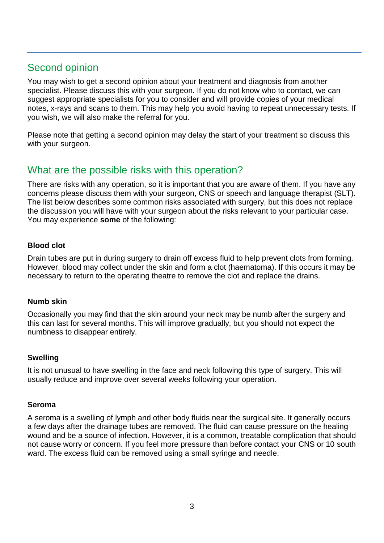## Second opinion

You may wish to get a second opinion about your treatment and diagnosis from another specialist. Please discuss this with your surgeon. If you do not know who to contact, we can suggest appropriate specialists for you to consider and will provide copies of your medical notes, x-rays and scans to them. This may help you avoid having to repeat unnecessary tests. If you wish, we will also make the referral for you.

Please note that getting a second opinion may delay the start of your treatment so discuss this with your surgeon.

## What are the possible risks with this operation?

There are risks with any operation, so it is important that you are aware of them. If you have any concerns please discuss them with your surgeon, CNS or speech and language therapist (SLT). The list below describes some common risks associated with surgery, but this does not replace the discussion you will have with your surgeon about the risks relevant to your particular case. You may experience **some** of the following:

#### **Blood clot**

Drain tubes are put in during surgery to drain off excess fluid to help prevent clots from forming. However, blood may collect under the skin and form a clot (haematoma). If this occurs it may be necessary to return to the operating theatre to remove the clot and replace the drains.

#### **Numb skin**

Occasionally you may find that the skin around your neck may be numb after the surgery and this can last for several months. This will improve gradually, but you should not expect the numbness to disappear entirely.

#### **Swelling**

It is not unusual to have swelling in the face and neck following this type of surgery. This will usually reduce and improve over several weeks following your operation.

#### **Seroma**

A seroma is a swelling of lymph and other body fluids near the surgical site. It generally occurs a few days after the drainage tubes are removed. The fluid can cause pressure on the healing wound and be a source of infection. However, it is a common, treatable complication that should not cause worry or concern. If you feel more pressure than before contact your CNS or 10 south ward. The excess fluid can be removed using a small syringe and needle.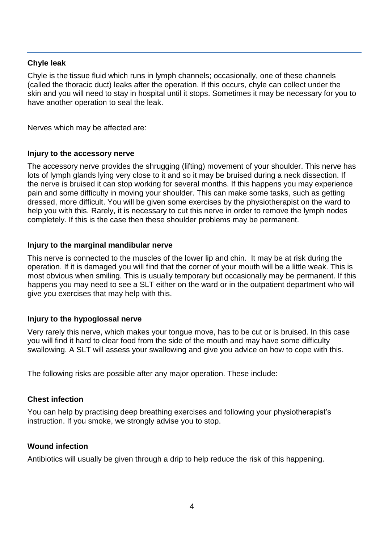#### **Chyle leak**

Chyle is the tissue fluid which runs in lymph channels; occasionally, one of these channels (called the thoracic duct) leaks after the operation. If this occurs, chyle can collect under the skin and you will need to stay in hospital until it stops. Sometimes it may be necessary for you to have another operation to seal the leak.

Nerves which may be affected are:

#### **Injury to the accessory nerve**

The accessory nerve provides the shrugging (lifting) movement of your shoulder. This nerve has lots of lymph glands lying very close to it and so it may be bruised during a neck dissection. If the nerve is bruised it can stop working for several months. If this happens you may experience pain and some difficulty in moving your shoulder. This can make some tasks, such as getting dressed, more difficult. You will be given some exercises by the physiotherapist on the ward to help you with this. Rarely, it is necessary to cut this nerve in order to remove the lymph nodes completely. If this is the case then these shoulder problems may be permanent.

#### **Injury to the marginal mandibular nerve**

This nerve is connected to the muscles of the lower lip and chin. It may be at risk during the operation. If it is damaged you will find that the corner of your mouth will be a little weak. This is most obvious when smiling. This is usually temporary but occasionally may be permanent. If this happens you may need to see a SLT either on the ward or in the outpatient department who will give you exercises that may help with this.

#### **Injury to the hypoglossal nerve**

Very rarely this nerve, which makes your tongue move, has to be cut or is bruised. In this case you will find it hard to clear food from the side of the mouth and may have some difficulty swallowing. A SLT will assess your swallowing and give you advice on how to cope with this.

The following risks are possible after any major operation. These include:

#### **Chest infection**

You can help by practising deep breathing exercises and following your physiotherapist's instruction. If you smoke, we strongly advise you to stop.

#### **Wound infection**

Antibiotics will usually be given through a drip to help reduce the risk of this happening.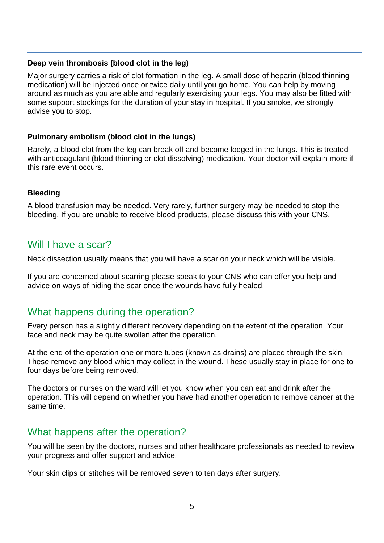#### **Deep vein thrombosis (blood clot in the leg)**

Major surgery carries a risk of clot formation in the leg. A small dose of heparin (blood thinning medication) will be injected once or twice daily until you go home. You can help by moving around as much as you are able and regularly exercising your legs. You may also be fitted with some support stockings for the duration of your stay in hospital. If you smoke, we strongly advise you to stop.

#### **Pulmonary embolism (blood clot in the lungs)**

Rarely, a blood clot from the leg can break off and become lodged in the lungs. This is treated with anticoagulant (blood thinning or clot dissolving) medication. Your doctor will explain more if this rare event occurs.

#### **Bleeding**

A blood transfusion may be needed. Very rarely, further surgery may be needed to stop the bleeding. If you are unable to receive blood products, please discuss this with your CNS.

## Will I have a scar?

Neck dissection usually means that you will have a scar on your neck which will be visible.

If you are concerned about scarring please speak to your CNS who can offer you help and advice on ways of hiding the scar once the wounds have fully healed.

## What happens during the operation?

Every person has a slightly different recovery depending on the extent of the operation. Your face and neck may be quite swollen after the operation.

At the end of the operation one or more tubes (known as drains) are placed through the skin. These remove any blood which may collect in the wound. These usually stay in place for one to four days before being removed.

The doctors or nurses on the ward will let you know when you can eat and drink after the operation. This will depend on whether you have had another operation to remove cancer at the same time.

## What happens after the operation?

You will be seen by the doctors, nurses and other healthcare professionals as needed to review your progress and offer support and advice.

Your skin clips or stitches will be removed seven to ten days after surgery.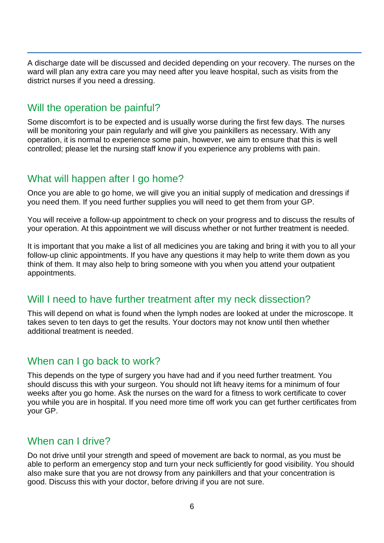A discharge date will be discussed and decided depending on your recovery. The nurses on the ward will plan any extra care you may need after you leave hospital, such as visits from the district nurses if you need a dressing.

## Will the operation be painful?

Some discomfort is to be expected and is usually worse during the first few days. The nurses will be monitoring your pain regularly and will give you painkillers as necessary. With any operation, it is normal to experience some pain, however, we aim to ensure that this is well controlled; please let the nursing staff know if you experience any problems with pain.

## What will happen after I go home?

Once you are able to go home, we will give you an initial supply of medication and dressings if you need them. If you need further supplies you will need to get them from your GP.

You will receive a follow-up appointment to check on your progress and to discuss the results of your operation. At this appointment we will discuss whether or not further treatment is needed.

It is important that you make a list of all medicines you are taking and bring it with you to all your follow-up clinic appointments. If you have any questions it may help to write them down as you think of them. It may also help to bring someone with you when you attend your outpatient appointments.

## Will I need to have further treatment after my neck dissection?

This will depend on what is found when the lymph nodes are looked at under the microscope. It takes seven to ten days to get the results. Your doctors may not know until then whether additional treatment is needed.

## When can I go back to work?

This depends on the type of surgery you have had and if you need further treatment. You should discuss this with your surgeon. You should not lift heavy items for a minimum of four weeks after you go home. Ask the nurses on the ward for a fitness to work certificate to cover you while you are in hospital. If you need more time off work you can get further certificates from your GP.

## When can I drive?

Do not drive until your strength and speed of movement are back to normal, as you must be able to perform an emergency stop and turn your neck sufficiently for good visibility. You should also make sure that you are not drowsy from any painkillers and that your concentration is good. Discuss this with your doctor, before driving if you are not sure.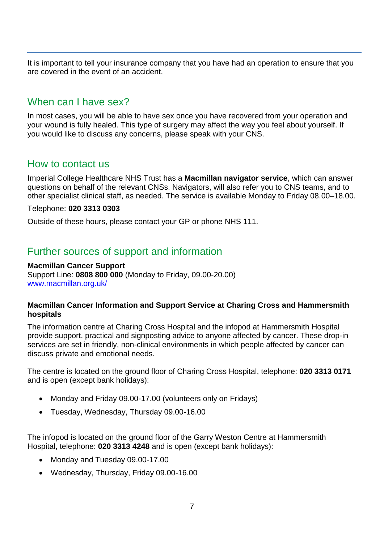It is important to tell your insurance company that you have had an operation to ensure that you are covered in the event of an accident.

## When can I have sex?

In most cases, you will be able to have sex once you have recovered from your operation and your wound is fully healed. This type of surgery may affect the way you feel about yourself. If you would like to discuss any concerns, please speak with your CNS.

## How to contact us

Imperial College Healthcare NHS Trust has a **Macmillan navigator service**, which can answer questions on behalf of the relevant CNSs. Navigators, will also refer you to CNS teams, and to other specialist clinical staff, as needed. The service is available Monday to Friday 08.00–18.00.

Telephone: **020 3313 0303** 

Outside of these hours, please contact your GP or phone NHS 111.

## Further sources of support and information

#### **Macmillan Cancer Support**

Support Line: **0808 800 000** (Monday to Friday, 09.00-20.00) [www.macmillan.org.uk/](http://www.macmillan.org.uk/)

#### **Macmillan Cancer Information and Support Service at Charing Cross and Hammersmith hospitals**

The information centre at Charing Cross Hospital and the infopod at Hammersmith Hospital provide support, practical and signposting advice to anyone affected by cancer. These drop-in services are set in friendly, non-clinical environments in which people affected by cancer can discuss private and emotional needs.

The centre is located on the ground floor of Charing Cross Hospital, telephone: **020 3313 0171** and is open (except bank holidays):

- Monday and Friday 09.00-17.00 (volunteers only on Fridays)
- Tuesday, Wednesday, Thursday 09.00-16.00

The infopod is located on the ground floor of the Garry Weston Centre at Hammersmith Hospital, telephone: **020 3313 4248** and is open (except bank holidays):

- Monday and Tuesday 09.00-17.00
- Wednesday, Thursday, Friday 09.00-16.00